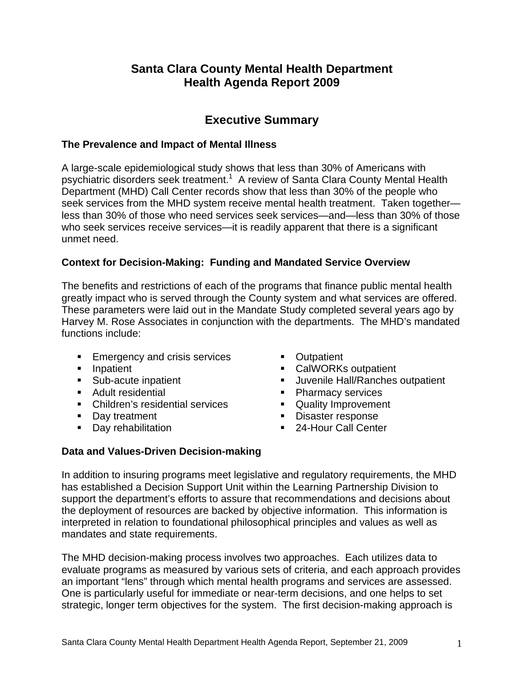# **Santa Clara County Mental Health Department Health Agenda Report 2009**

# **Executive Summary**

## **The Prevalence and Impact of Mental Illness**

A large-scale epidemiological study shows that less than 30% of Americans with psychiatric disorders seek treatment.<sup>1</sup> A review of Santa Clara County Mental Health Department (MHD) Call Center records show that less than 30% of the people who seek services from the MHD system receive mental health treatment. Taken together less than 30% of those who need services seek services—and—less than 30% of those who seek services receive services—it is readily apparent that there is a significant unmet need.

## **Context for Decision-Making: Funding and Mandated Service Overview**

The benefits and restrictions of each of the programs that finance public mental health greatly impact who is served through the County system and what services are offered. These parameters were laid out in the Mandate Study completed several years ago by Harvey M. Rose Associates in conjunction with the departments. The MHD's mandated functions include:

- **Emergency and crisis services**
- **Inpatient**
- **Sub-acute inpatient**
- **Adult residential**
- Children's residential services
- Day treatment
- **Day rehabilitation**
- **Cutpatient**
- CalWORKs outpatient
- **Juvenile Hall/Ranches outpatient**
- Pharmacy services
- **Quality Improvement**
- **Disaster response**
- 24-Hour Call Center

## **Data and Values-Driven Decision-making**

In addition to insuring programs meet legislative and regulatory requirements, the MHD has established a Decision Support Unit within the Learning Partnership Division to support the department's efforts to assure that recommendations and decisions about the deployment of resources are backed by objective information. This information is interpreted in relation to foundational philosophical principles and values as well as mandates and state requirements.

The MHD decision-making process involves two approaches. Each utilizes data to evaluate programs as measured by various sets of criteria, and each approach provides an important "lens" through which mental health programs and services are assessed. One is particularly useful for immediate or near-term decisions, and one helps to set strategic, longer term objectives for the system. The first decision-making approach is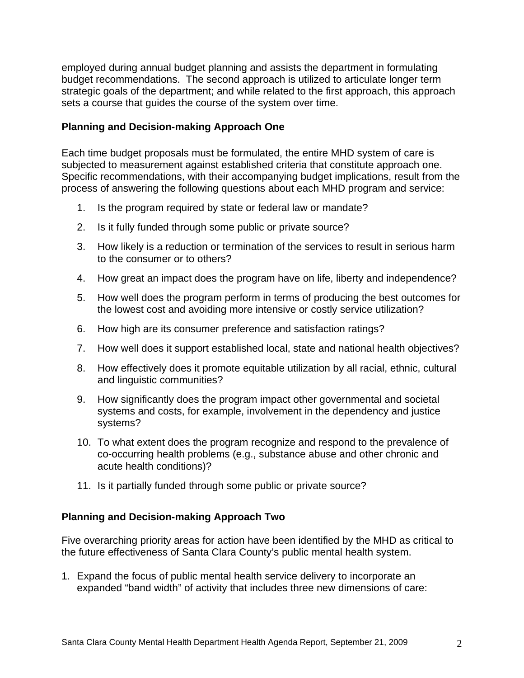employed during annual budget planning and assists the department in formulating budget recommendations. The second approach is utilized to articulate longer term strategic goals of the department; and while related to the first approach, this approach sets a course that guides the course of the system over time.

## **Planning and Decision-making Approach One**

Each time budget proposals must be formulated, the entire MHD system of care is subjected to measurement against established criteria that constitute approach one. Specific recommendations, with their accompanying budget implications, result from the process of answering the following questions about each MHD program and service:

- 1. Is the program required by state or federal law or mandate?
- 2. Is it fully funded through some public or private source?
- 3. How likely is a reduction or termination of the services to result in serious harm to the consumer or to others?
- 4. How great an impact does the program have on life, liberty and independence?
- 5. How well does the program perform in terms of producing the best outcomes for the lowest cost and avoiding more intensive or costly service utilization?
- 6. How high are its consumer preference and satisfaction ratings?
- 7. How well does it support established local, state and national health objectives?
- 8. How effectively does it promote equitable utilization by all racial, ethnic, cultural and linguistic communities?
- 9. How significantly does the program impact other governmental and societal systems and costs, for example, involvement in the dependency and justice systems?
- 10. To what extent does the program recognize and respond to the prevalence of co-occurring health problems (e.g., substance abuse and other chronic and acute health conditions)?
- 11. Is it partially funded through some public or private source?

## **Planning and Decision-making Approach Two**

Five overarching priority areas for action have been identified by the MHD as critical to the future effectiveness of Santa Clara County's public mental health system.

1. Expand the focus of public mental health service delivery to incorporate an expanded "band width" of activity that includes three new dimensions of care: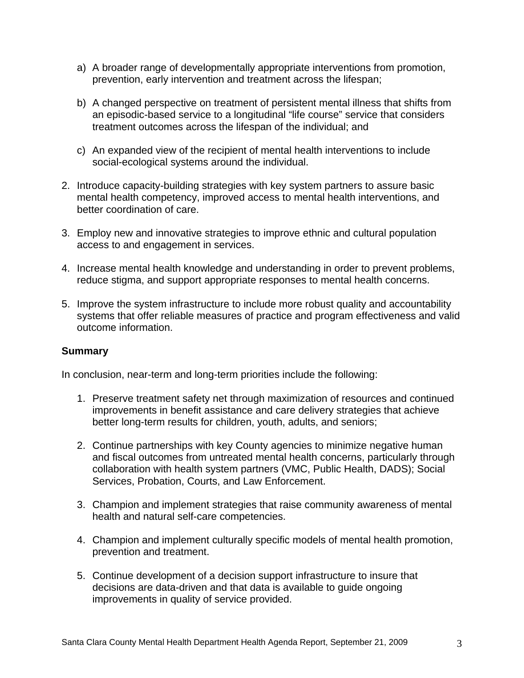- a) A broader range of developmentally appropriate interventions from promotion, prevention, early intervention and treatment across the lifespan;
- b) A changed perspective on treatment of persistent mental illness that shifts from an episodic-based service to a longitudinal "life course" service that considers treatment outcomes across the lifespan of the individual; and
- c) An expanded view of the recipient of mental health interventions to include social-ecological systems around the individual.
- 2. Introduce capacity-building strategies with key system partners to assure basic mental health competency, improved access to mental health interventions, and better coordination of care.
- 3. Employ new and innovative strategies to improve ethnic and cultural population access to and engagement in services.
- 4. Increase mental health knowledge and understanding in order to prevent problems, reduce stigma, and support appropriate responses to mental health concerns.
- 5. Improve the system infrastructure to include more robust quality and accountability systems that offer reliable measures of practice and program effectiveness and valid outcome information.

## **Summary**

In conclusion, near-term and long-term priorities include the following:

- 1. Preserve treatment safety net through maximization of resources and continued improvements in benefit assistance and care delivery strategies that achieve better long-term results for children, youth, adults, and seniors;
- 2. Continue partnerships with key County agencies to minimize negative human and fiscal outcomes from untreated mental health concerns, particularly through collaboration with health system partners (VMC, Public Health, DADS); Social Services, Probation, Courts, and Law Enforcement.
- 3. Champion and implement strategies that raise community awareness of mental health and natural self-care competencies.
- 4. Champion and implement culturally specific models of mental health promotion, prevention and treatment.
- 5. Continue development of a decision support infrastructure to insure that decisions are data-driven and that data is available to guide ongoing improvements in quality of service provided.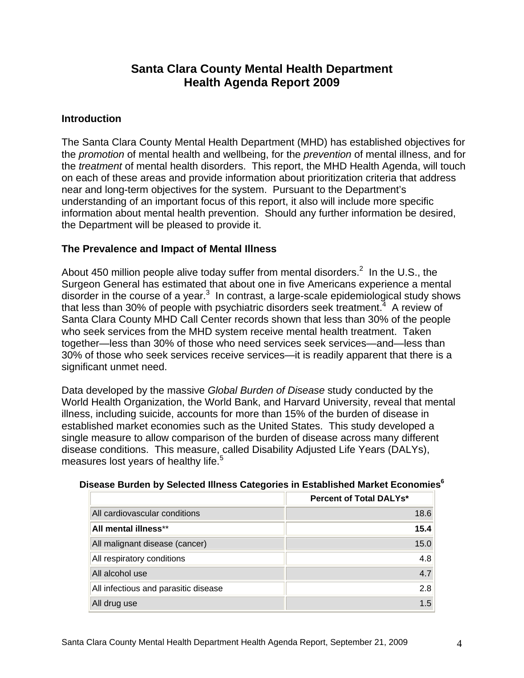# **Santa Clara County Mental Health Department Health Agenda Report 2009**

## **Introduction**

The Santa Clara County Mental Health Department (MHD) has established objectives for the *promotion* of mental health and wellbeing, for the *prevention* of mental illness, and for the *treatment* of mental health disorders. This report, the MHD Health Agenda, will touch on each of these areas and provide information about prioritization criteria that address near and long-term objectives for the system. Pursuant to the Department's understanding of an important focus of this report, it also will include more specific information about mental health prevention. Should any further information be desired, the Department will be pleased to provide it.

## **The Prevalence and Impact of Mental Illness**

About 450 million people alive today suffer from mental disorders.<sup>2</sup> In the U.S., the Surgeon General has estimated that about one in five Americans experience a mental disorder in the course of a year. $3\,$  In contrast, a large-scale epidemiological study shows that less than 30% of people with psychiatric disorders seek treatment.<sup>4</sup> A review of Santa Clara County MHD Call Center records shown that less than 30% of the people who seek services from the MHD system receive mental health treatment. Taken together—less than 30% of those who need services seek services—and—less than 30% of those who seek services receive services—it is readily apparent that there is a significant unmet need.

Data developed by the massive *Global Burden of Disease* study conducted by the World Health Organization, the World Bank, and Harvard University, reveal that mental illness, including suicide, accounts for more than 15% of the burden of disease in established market economies such as the United States. This study developed a single measure to allow comparison of the burden of disease across many different disease conditions. This measure, called Disability Adjusted Life Years (DALYs), measures lost years of healthy life. $5$ 

|                                      | <b>Percent of Total DALYs*</b> |
|--------------------------------------|--------------------------------|
| All cardiovascular conditions        | 18.6                           |
| All mental illness**                 | 15.4                           |
| All malignant disease (cancer)       | 15.0                           |
| All respiratory conditions           | 4.8                            |
| All alcohol use                      | 4.7                            |
| All infectious and parasitic disease | 2.8                            |
| All drug use                         | 1.5                            |

#### **Disease Burden by Selected Illness Categories in Established Market Economies6**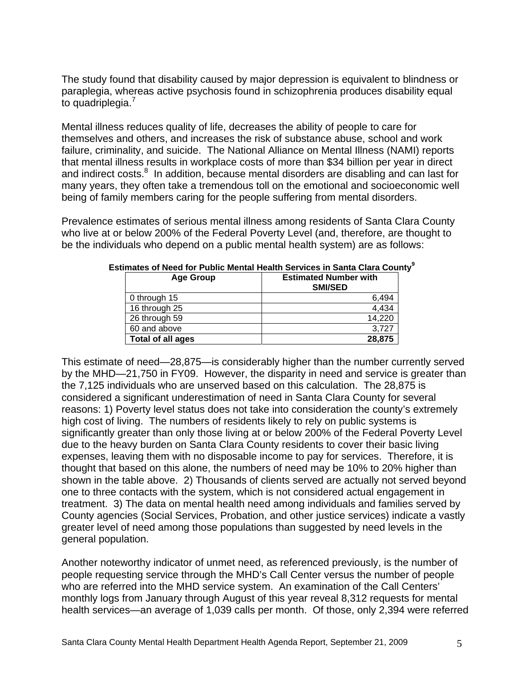The study found that disability caused by major depression is equivalent to blindness or paraplegia, whereas active psychosis found in schizophrenia produces disability equal to quadriplegia.<sup>7</sup>

Mental illness reduces quality of life, decreases the ability of people to care for themselves and others, and increases the risk of substance abuse, school and work failure, criminality, and suicide. The National Alliance on Mental Illness (NAMI) reports that mental illness results in workplace costs of more than \$34 billion per year in direct and indirect costs.<sup>8</sup> In addition, because mental disorders are disabling and can last for many years, they often take a tremendous toll on the emotional and socioeconomic well being of family members caring for the people suffering from mental disorders.

Prevalence estimates of serious mental illness among residents of Santa Clara County who live at or below 200% of the Federal Poverty Level (and, therefore, are thought to be the individuals who depend on a public mental health system) are as follows:

| <b>Age Group</b>  | <b>Estimated Number with</b><br><b>SMI/SED</b> |
|-------------------|------------------------------------------------|
| 0 through 15      | 6,494                                          |
| 16 through 25     | 4,434                                          |
| 26 through 59     | 14,220                                         |
| 60 and above      | 3,727                                          |
| Total of all ages | 28,875                                         |

**Estimates of Need for Public Mental Health Services in Santa Clara County<sup>9</sup>**

This estimate of need—28,875—is considerably higher than the number currently served by the MHD—21,750 in FY09. However, the disparity in need and service is greater than the 7,125 individuals who are unserved based on this calculation. The 28,875 is considered a significant underestimation of need in Santa Clara County for several reasons: 1) Poverty level status does not take into consideration the county's extremely high cost of living. The numbers of residents likely to rely on public systems is significantly greater than only those living at or below 200% of the Federal Poverty Level due to the heavy burden on Santa Clara County residents to cover their basic living expenses, leaving them with no disposable income to pay for services. Therefore, it is thought that based on this alone, the numbers of need may be 10% to 20% higher than shown in the table above. 2) Thousands of clients served are actually not served beyond one to three contacts with the system, which is not considered actual engagement in treatment. 3) The data on mental health need among individuals and families served by County agencies (Social Services, Probation, and other justice services) indicate a vastly greater level of need among those populations than suggested by need levels in the general population.

Another noteworthy indicator of unmet need, as referenced previously, is the number of people requesting service through the MHD's Call Center versus the number of people who are referred into the MHD service system. An examination of the Call Centers' monthly logs from January through August of this year reveal 8,312 requests for mental health services—an average of 1,039 calls per month. Of those, only 2,394 were referred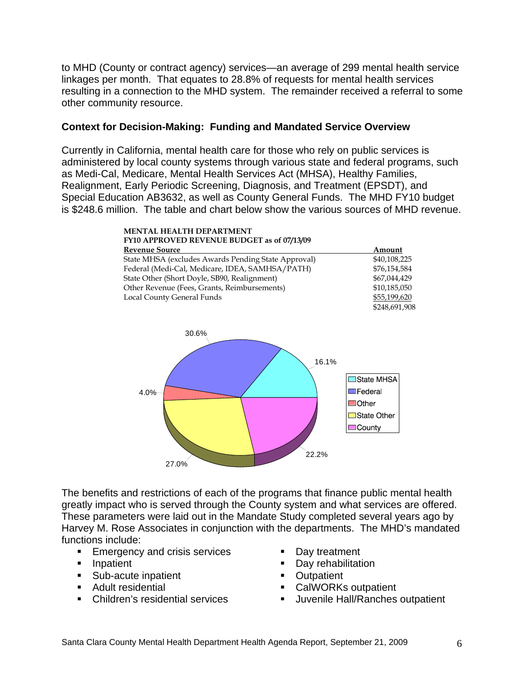to MHD (County or contract agency) services—an average of 299 mental health service linkages per month. That equates to 28.8% of requests for mental health services resulting in a connection to the MHD system. The remainder received a referral to some other community resource.

## **Context for Decision-Making: Funding and Mandated Service Overview**

Currently in California, mental health care for those who rely on public services is administered by local county systems through various state and federal programs, such as Medi-Cal, Medicare, Mental Health Services Act (MHSA), Healthy Families, Realignment, Early Periodic Screening, Diagnosis, and Treatment (EPSDT), and Special Education AB3632, as well as County General Funds. The MHD FY10 budget is \$248.6 million. The table and chart below show the various sources of MHD revenue.



The benefits and restrictions of each of the programs that finance public mental health greatly impact who is served through the County system and what services are offered. These parameters were laid out in the Mandate Study completed several years ago by Harvey M. Rose Associates in conjunction with the departments. The MHD's mandated functions include:

- **Emergency and crisis services**
- **Inpatient**
- **Sub-acute inpatient**
- **Adult residential**
- Children's residential services
- Day treatment
- Day rehabilitation
- **Outpatient**
- CalWORKs outpatient
- **Juvenile Hall/Ranches outpatient**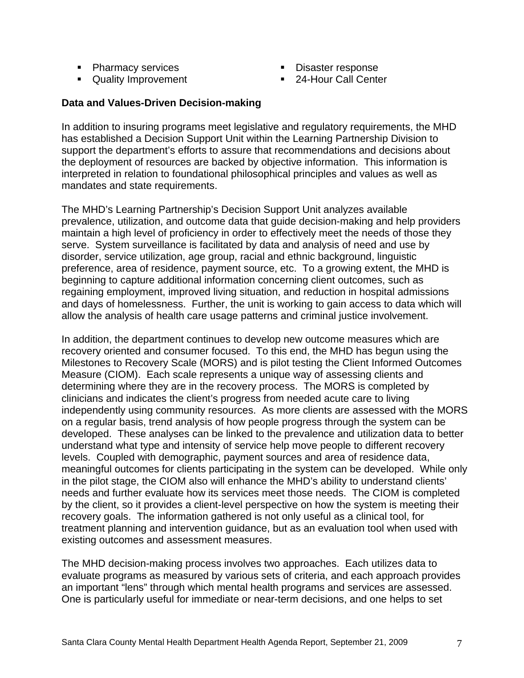- Pharmacy services
- **Quality Improvement**
- **Disaster response**
- 24-Hour Call Center

## **Data and Values-Driven Decision-making**

In addition to insuring programs meet legislative and regulatory requirements, the MHD has established a Decision Support Unit within the Learning Partnership Division to support the department's efforts to assure that recommendations and decisions about the deployment of resources are backed by objective information. This information is interpreted in relation to foundational philosophical principles and values as well as mandates and state requirements.

The MHD's Learning Partnership's Decision Support Unit analyzes available prevalence, utilization, and outcome data that guide decision-making and help providers maintain a high level of proficiency in order to effectively meet the needs of those they serve. System surveillance is facilitated by data and analysis of need and use by disorder, service utilization, age group, racial and ethnic background, linguistic preference, area of residence, payment source, etc. To a growing extent, the MHD is beginning to capture additional information concerning client outcomes, such as regaining employment, improved living situation, and reduction in hospital admissions and days of homelessness. Further, the unit is working to gain access to data which will allow the analysis of health care usage patterns and criminal justice involvement.

In addition, the department continues to develop new outcome measures which are recovery oriented and consumer focused. To this end, the MHD has begun using the Milestones to Recovery Scale (MORS) and is pilot testing the Client Informed Outcomes Measure (CIOM). Each scale represents a unique way of assessing clients and determining where they are in the recovery process. The MORS is completed by clinicians and indicates the client's progress from needed acute care to living independently using community resources. As more clients are assessed with the MORS on a regular basis, trend analysis of how people progress through the system can be developed. These analyses can be linked to the prevalence and utilization data to better understand what type and intensity of service help move people to different recovery levels. Coupled with demographic, payment sources and area of residence data, meaningful outcomes for clients participating in the system can be developed. While only in the pilot stage, the CIOM also will enhance the MHD's ability to understand clients' needs and further evaluate how its services meet those needs. The CIOM is completed by the client, so it provides a client-level perspective on how the system is meeting their recovery goals. The information gathered is not only useful as a clinical tool, for treatment planning and intervention guidance, but as an evaluation tool when used with existing outcomes and assessment measures.

The MHD decision-making process involves two approaches. Each utilizes data to evaluate programs as measured by various sets of criteria, and each approach provides an important "lens" through which mental health programs and services are assessed. One is particularly useful for immediate or near-term decisions, and one helps to set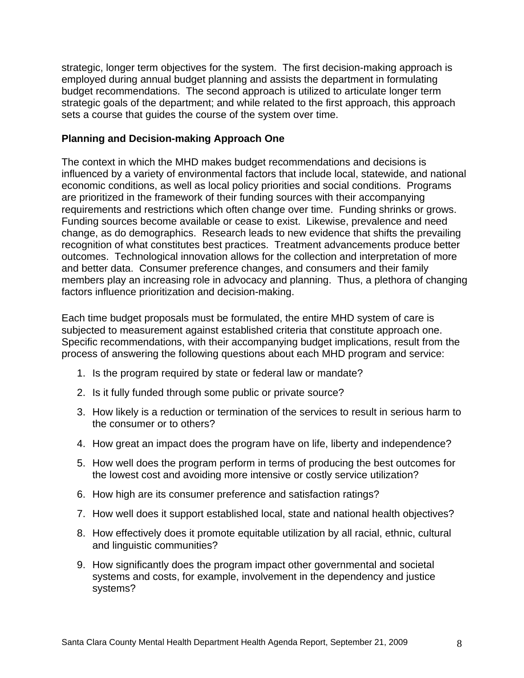strategic, longer term objectives for the system. The first decision-making approach is employed during annual budget planning and assists the department in formulating budget recommendations. The second approach is utilized to articulate longer term strategic goals of the department; and while related to the first approach, this approach sets a course that guides the course of the system over time.

## **Planning and Decision-making Approach One**

The context in which the MHD makes budget recommendations and decisions is influenced by a variety of environmental factors that include local, statewide, and national economic conditions, as well as local policy priorities and social conditions. Programs are prioritized in the framework of their funding sources with their accompanying requirements and restrictions which often change over time. Funding shrinks or grows. Funding sources become available or cease to exist. Likewise, prevalence and need change, as do demographics. Research leads to new evidence that shifts the prevailing recognition of what constitutes best practices. Treatment advancements produce better outcomes. Technological innovation allows for the collection and interpretation of more and better data. Consumer preference changes, and consumers and their family members play an increasing role in advocacy and planning. Thus, a plethora of changing factors influence prioritization and decision-making.

Each time budget proposals must be formulated, the entire MHD system of care is subjected to measurement against established criteria that constitute approach one. Specific recommendations, with their accompanying budget implications, result from the process of answering the following questions about each MHD program and service:

- 1. Is the program required by state or federal law or mandate?
- 2. Is it fully funded through some public or private source?
- 3. How likely is a reduction or termination of the services to result in serious harm to the consumer or to others?
- 4. How great an impact does the program have on life, liberty and independence?
- 5. How well does the program perform in terms of producing the best outcomes for the lowest cost and avoiding more intensive or costly service utilization?
- 6. How high are its consumer preference and satisfaction ratings?
- 7. How well does it support established local, state and national health objectives?
- 8. How effectively does it promote equitable utilization by all racial, ethnic, cultural and linguistic communities?
- 9. How significantly does the program impact other governmental and societal systems and costs, for example, involvement in the dependency and justice systems?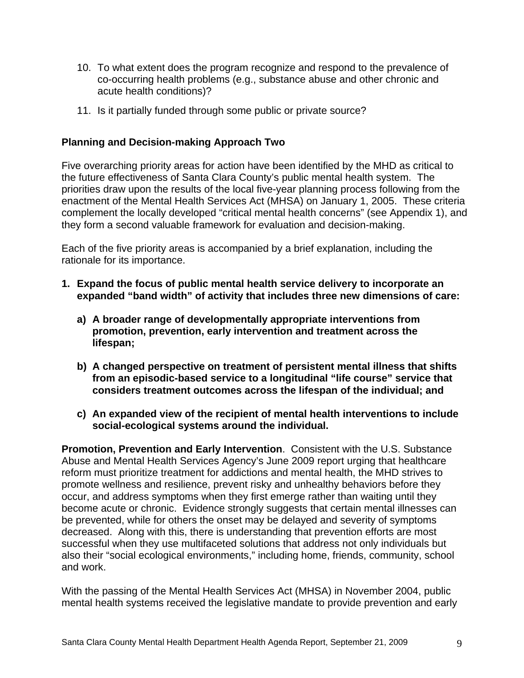- 10. To what extent does the program recognize and respond to the prevalence of co-occurring health problems (e.g., substance abuse and other chronic and acute health conditions)?
- 11. Is it partially funded through some public or private source?

## **Planning and Decision-making Approach Two**

Five overarching priority areas for action have been identified by the MHD as critical to the future effectiveness of Santa Clara County's public mental health system. The priorities draw upon the results of the local five-year planning process following from the enactment of the Mental Health Services Act (MHSA) on January 1, 2005. These criteria complement the locally developed "critical mental health concerns" (see Appendix 1), and they form a second valuable framework for evaluation and decision-making.

Each of the five priority areas is accompanied by a brief explanation, including the rationale for its importance.

- **1. Expand the focus of public mental health service delivery to incorporate an expanded "band width" of activity that includes three new dimensions of care:** 
	- **a) A broader range of developmentally appropriate interventions from promotion, prevention, early intervention and treatment across the lifespan;**
	- **b) A changed perspective on treatment of persistent mental illness that shifts from an episodic-based service to a longitudinal "life course" service that considers treatment outcomes across the lifespan of the individual; and**
	- **c) An expanded view of the recipient of mental health interventions to include social-ecological systems around the individual.**

**Promotion, Prevention and Early Intervention**. Consistent with the U.S. Substance Abuse and Mental Health Services Agency's June 2009 report urging that healthcare reform must prioritize treatment for addictions and mental health, the MHD strives to promote wellness and resilience, prevent risky and unhealthy behaviors before they occur, and address symptoms when they first emerge rather than waiting until they become acute or chronic. Evidence strongly suggests that certain mental illnesses can be prevented, while for others the onset may be delayed and severity of symptoms decreased. Along with this, there is understanding that prevention efforts are most successful when they use multifaceted solutions that address not only individuals but also their "social ecological environments," including home, friends, community, school and work.

With the passing of the Mental Health Services Act (MHSA) in November 2004, public mental health systems received the legislative mandate to provide prevention and early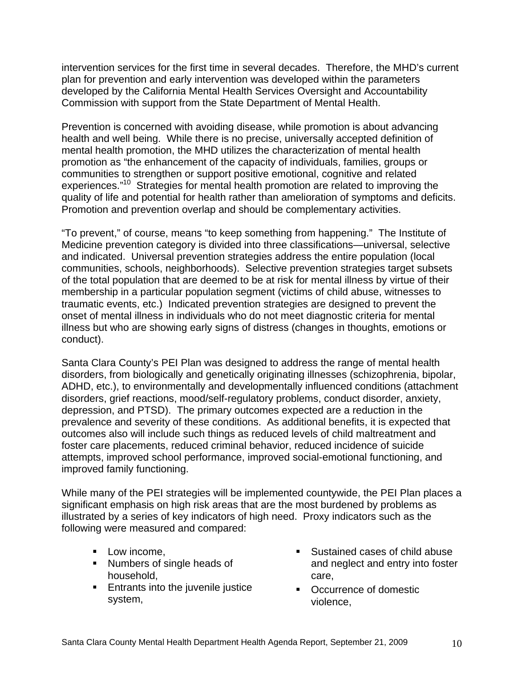intervention services for the first time in several decades. Therefore, the MHD's current plan for prevention and early intervention was developed within the parameters developed by the California Mental Health Services Oversight and Accountability Commission with support from the State Department of Mental Health.

Prevention is concerned with avoiding disease, while promotion is about advancing health and well being. While there is no precise, universally accepted definition of mental health promotion, the MHD utilizes the characterization of mental health promotion as "the enhancement of the capacity of individuals, families, groups or communities to strengthen or support positive emotional, cognitive and related experiences."<sup>10</sup> Strategies for mental health promotion are related to improving the quality of life and potential for health rather than amelioration of symptoms and deficits. Promotion and prevention overlap and should be complementary activities.

"To prevent," of course, means "to keep something from happening." The Institute of Medicine prevention category is divided into three classifications—universal, selective and indicated. Universal prevention strategies address the entire population (local communities, schools, neighborhoods). Selective prevention strategies target subsets of the total population that are deemed to be at risk for mental illness by virtue of their membership in a particular population segment (victims of child abuse, witnesses to traumatic events, etc.) Indicated prevention strategies are designed to prevent the onset of mental illness in individuals who do not meet diagnostic criteria for mental illness but who are showing early signs of distress (changes in thoughts, emotions or conduct).

Santa Clara County's PEI Plan was designed to address the range of mental health disorders, from biologically and genetically originating illnesses (schizophrenia, bipolar, ADHD, etc.), to environmentally and developmentally influenced conditions (attachment disorders, grief reactions, mood/self-regulatory problems, conduct disorder, anxiety, depression, and PTSD). The primary outcomes expected are a reduction in the prevalence and severity of these conditions. As additional benefits, it is expected that outcomes also will include such things as reduced levels of child maltreatment and foster care placements, reduced criminal behavior, reduced incidence of suicide attempts, improved school performance, improved social-emotional functioning, and improved family functioning.

While many of the PEI strategies will be implemented countywide, the PEI Plan places a significant emphasis on high risk areas that are the most burdened by problems as illustrated by a series of key indicators of high need. Proxy indicators such as the following were measured and compared:

- **Low income,**
- **Numbers of single heads of** household,
- **Entrants into the juvenile justice** system,
- Sustained cases of child abuse and neglect and entry into foster care,
- Occurrence of domestic violence,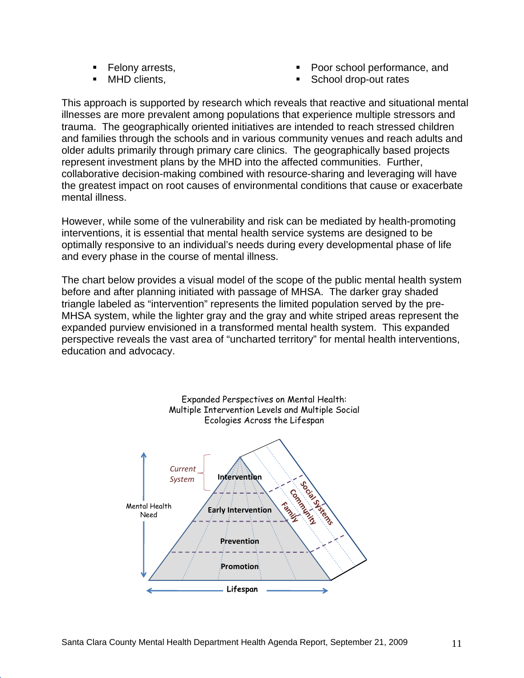- **Felony arrests,**
- MHD clients,
- Poor school performance, and
- School drop-out rates

This approach is supported by research which reveals that reactive and situational mental illnesses are more prevalent among populations that experience multiple stressors and trauma. The geographically oriented initiatives are intended to reach stressed children and families through the schools and in various community venues and reach adults and older adults primarily through primary care clinics. The geographically based projects represent investment plans by the MHD into the affected communities. Further, collaborative decision-making combined with resource-sharing and leveraging will have the greatest impact on root causes of environmental conditions that cause or exacerbate mental illness.

However, while some of the vulnerability and risk can be mediated by health-promoting interventions, it is essential that mental health service systems are designed to be optimally responsive to an individual's needs during every developmental phase of life and every phase in the course of mental illness.

The chart below provides a visual model of the scope of the public mental health system before and after planning initiated with passage of MHSA. The darker gray shaded triangle labeled as "intervention" represents the limited population served by the pre-MHSA system, while the lighter gray and the gray and white striped areas represent the expanded purview envisioned in a transformed mental health system. This expanded perspective reveals the vast area of "uncharted territory" for mental health interventions, education and advocacy.

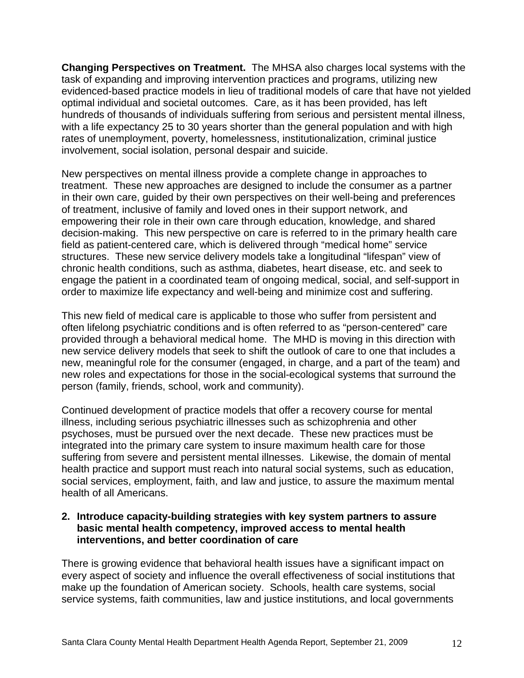**Changing Perspectives on Treatment.** The MHSA also charges local systems with the task of expanding and improving intervention practices and programs, utilizing new evidenced-based practice models in lieu of traditional models of care that have not yielded optimal individual and societal outcomes. Care, as it has been provided, has left hundreds of thousands of individuals suffering from serious and persistent mental illness, with a life expectancy 25 to 30 years shorter than the general population and with high rates of unemployment, poverty, homelessness, institutionalization, criminal justice involvement, social isolation, personal despair and suicide.

New perspectives on mental illness provide a complete change in approaches to treatment. These new approaches are designed to include the consumer as a partner in their own care, guided by their own perspectives on their well-being and preferences of treatment, inclusive of family and loved ones in their support network, and empowering their role in their own care through education, knowledge, and shared decision-making. This new perspective on care is referred to in the primary health care field as patient-centered care, which is delivered through "medical home" service structures. These new service delivery models take a longitudinal "lifespan" view of chronic health conditions, such as asthma, diabetes, heart disease, etc. and seek to engage the patient in a coordinated team of ongoing medical, social, and self-support in order to maximize life expectancy and well-being and minimize cost and suffering.

This new field of medical care is applicable to those who suffer from persistent and often lifelong psychiatric conditions and is often referred to as "person-centered" care provided through a behavioral medical home. The MHD is moving in this direction with new service delivery models that seek to shift the outlook of care to one that includes a new, meaningful role for the consumer (engaged, in charge, and a part of the team) and new roles and expectations for those in the social-ecological systems that surround the person (family, friends, school, work and community).

Continued development of practice models that offer a recovery course for mental illness, including serious psychiatric illnesses such as schizophrenia and other psychoses, must be pursued over the next decade. These new practices must be integrated into the primary care system to insure maximum health care for those suffering from severe and persistent mental illnesses. Likewise, the domain of mental health practice and support must reach into natural social systems, such as education, social services, employment, faith, and law and justice, to assure the maximum mental health of all Americans.

## **2. Introduce capacity-building strategies with key system partners to assure basic mental health competency, improved access to mental health interventions, and better coordination of care**

There is growing evidence that behavioral health issues have a significant impact on every aspect of society and influence the overall effectiveness of social institutions that make up the foundation of American society. Schools, health care systems, social service systems, faith communities, law and justice institutions, and local governments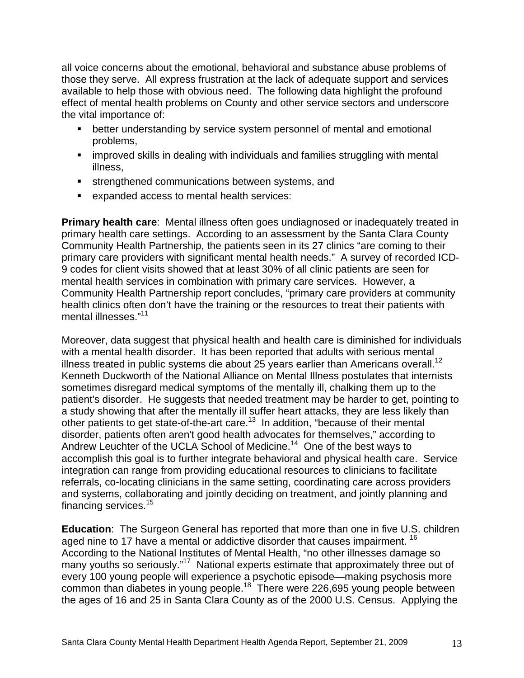all voice concerns about the emotional, behavioral and substance abuse problems of those they serve. All express frustration at the lack of adequate support and services available to help those with obvious need. The following data highlight the profound effect of mental health problems on County and other service sectors and underscore the vital importance of:

- better understanding by service system personnel of mental and emotional problems,
- **EXT** improved skills in dealing with individuals and families struggling with mental illness,
- **strengthened communications between systems, and**
- expanded access to mental health services:

**Primary health care:** Mental illness often goes undiagnosed or inadequately treated in primary health care settings. According to an assessment by the Santa Clara County Community Health Partnership, the patients seen in its 27 clinics "are coming to their primary care providers with significant mental health needs." A survey of recorded ICD-9 codes for client visits showed that at least 30% of all clinic patients are seen for mental health services in combination with primary care services. However, a Community Health Partnership report concludes, "primary care providers at community health clinics often don't have the training or the resources to treat their patients with mental illnesses."<sup>11</sup>

Moreover, data suggest that physical health and health care is diminished for individuals with a mental health disorder. It has been reported that adults with serious mental illness treated in public systems die about 25 years earlier than Americans overall.<sup>12</sup> Kenneth Duckworth of the National Alliance on Mental Illness postulates that internists sometimes disregard medical symptoms of the mentally ill, chalking them up to the patient's disorder. He suggests that needed treatment may be harder to get, pointing to a study showing that after the mentally ill suffer heart attacks, they are less likely than other patients to get state-of-the-art care.<sup>13</sup> In addition, "because of their mental disorder, patients often aren't good health advocates for themselves," according to Andrew Leuchter of the UCLA School of Medicine.<sup>14</sup> One of the best ways to accomplish this goal is to further integrate behavioral and physical health care. Service integration can range from providing educational resources to clinicians to facilitate referrals, co-locating clinicians in the same setting, coordinating care across providers and systems, collaborating and jointly deciding on treatment, and jointly planning and financing services.<sup>15</sup>

**Education**: The Surgeon General has reported that more than one in five U.S. children aged nine to 17 have a mental or addictive disorder that causes impairment. <sup>16</sup> According to the National Institutes of Mental Health, "no other illnesses damage so many youths so seriously."<sup>17</sup> National experts estimate that approximately three out of every 100 young people will experience a psychotic episode—making psychosis more common than diabetes in young people.<sup>18</sup> There were 226,695 young people between the ages of 16 and 25 in Santa Clara County as of the 2000 U.S. Census. Applying the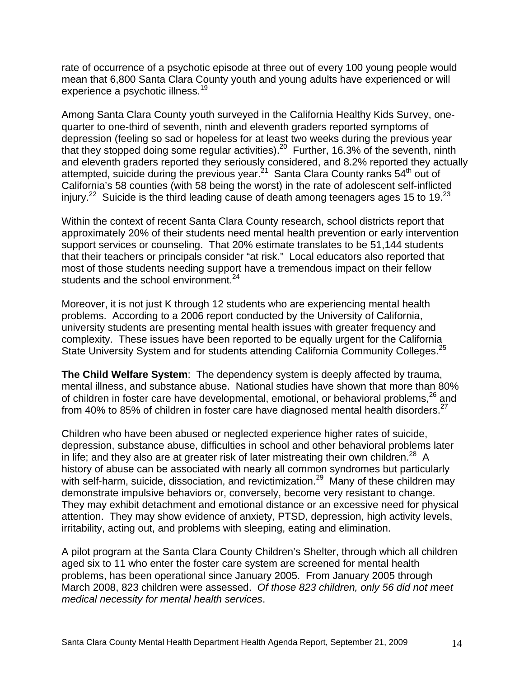rate of occurrence of a psychotic episode at three out of every 100 young people would mean that 6,800 Santa Clara County youth and young adults have experienced or will experience a psychotic illness.<sup>19</sup>

Among Santa Clara County youth surveyed in the California Healthy Kids Survey, onequarter to one-third of seventh, ninth and eleventh graders reported symptoms of depression (feeling so sad or hopeless for at least two weeks during the previous year that they stopped doing some regular activities).20 Further, 16.3% of the seventh, ninth and eleventh graders reported they seriously considered, and 8.2% reported they actually attempted, suicide during the previous year.<sup>21</sup> Santa Clara County ranks  $54<sup>th</sup>$  out of California's 58 counties (with 58 being the worst) in the rate of adolescent self-inflicted injury.<sup>22</sup> Suicide is the third leading cause of death among teenagers ages 15 to 19.<sup>23</sup>

Within the context of recent Santa Clara County research, school districts report that approximately 20% of their students need mental health prevention or early intervention support services or counseling. That 20% estimate translates to be 51,144 students that their teachers or principals consider "at risk." Local educators also reported that most of those students needing support have a tremendous impact on their fellow students and the school environment. $24$ 

Moreover, it is not just K through 12 students who are experiencing mental health problems. According to a 2006 report conducted by the University of California, university students are presenting mental health issues with greater frequency and complexity. These issues have been reported to be equally urgent for the California State University System and for students attending California Community Colleges.<sup>25</sup>

**The Child Welfare System**: The dependency system is deeply affected by trauma, mental illness, and substance abuse. National studies have shown that more than 80% of children in foster care have developmental, emotional, or behavioral problems, $^{26}$  and from 40% to 85% of children in foster care have diagnosed mental health disorders.<sup>27</sup>

Children who have been abused or neglected experience higher rates of suicide, depression, substance abuse, difficulties in school and other behavioral problems later in life; and they also are at greater risk of later mistreating their own children.<sup>28</sup> A history of abuse can be associated with nearly all common syndromes but particularly with self-harm, suicide, dissociation, and revictimization.<sup>29</sup> Many of these children may demonstrate impulsive behaviors or, conversely, become very resistant to change. They may exhibit detachment and emotional distance or an excessive need for physical attention. They may show evidence of anxiety, PTSD, depression, high activity levels, irritability, acting out, and problems with sleeping, eating and elimination.

A pilot program at the Santa Clara County Children's Shelter, through which all children aged six to 11 who enter the foster care system are screened for mental health problems, has been operational since January 2005. From January 2005 through March 2008, 823 children were assessed. *Of those 823 children, only 56 did not meet medical necessity for mental health services*.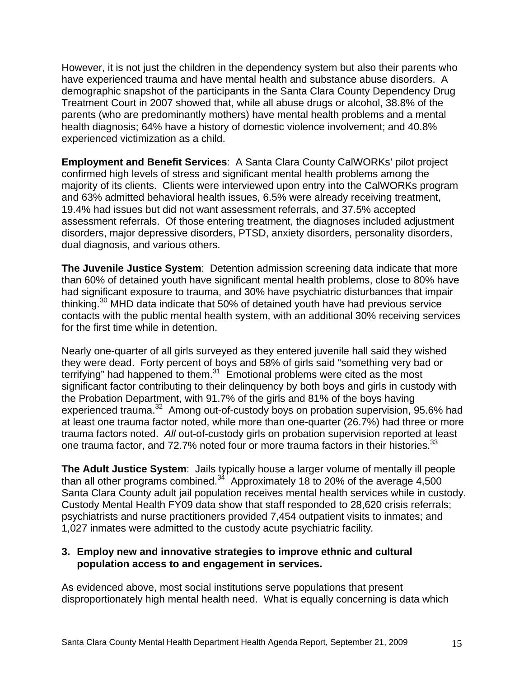However, it is not just the children in the dependency system but also their parents who have experienced trauma and have mental health and substance abuse disorders. A demographic snapshot of the participants in the Santa Clara County Dependency Drug Treatment Court in 2007 showed that, while all abuse drugs or alcohol, 38.8% of the parents (who are predominantly mothers) have mental health problems and a mental health diagnosis; 64% have a history of domestic violence involvement; and 40.8% experienced victimization as a child.

**Employment and Benefit Services**: A Santa Clara County CalWORKs' pilot project confirmed high levels of stress and significant mental health problems among the majority of its clients. Clients were interviewed upon entry into the CalWORKs program and 63% admitted behavioral health issues, 6.5% were already receiving treatment, 19.4% had issues but did not want assessment referrals, and 37.5% accepted assessment referrals. Of those entering treatment, the diagnoses included adjustment disorders, major depressive disorders, PTSD, anxiety disorders, personality disorders, dual diagnosis, and various others.

**The Juvenile Justice System**: Detention admission screening data indicate that more than 60% of detained youth have significant mental health problems, close to 80% have had significant exposure to trauma, and 30% have psychiatric disturbances that impair thinking.30 MHD data indicate that 50% of detained youth have had previous service contacts with the public mental health system, with an additional 30% receiving services for the first time while in detention.

Nearly one-quarter of all girls surveyed as they entered juvenile hall said they wished they were dead. Forty percent of boys and 58% of girls said "something very bad or terrifying" had happened to them. $31$  Emotional problems were cited as the most significant factor contributing to their delinquency by both boys and girls in custody with the Probation Department, with 91.7% of the girls and 81% of the boys having experienced trauma.32 Among out-of-custody boys on probation supervision, 95.6% had at least one trauma factor noted, while more than one-quarter (26.7%) had three or more trauma factors noted. *All* out-of-custody girls on probation supervision reported at least one trauma factor, and 72.7% noted four or more trauma factors in their histories.<sup>33</sup>

**The Adult Justice System**: Jails typically house a larger volume of mentally ill people than all other programs combined.<sup>34</sup> Approximately 18 to 20% of the average 4,500 Santa Clara County adult jail population receives mental health services while in custody. Custody Mental Health FY09 data show that staff responded to 28,620 crisis referrals; psychiatrists and nurse practitioners provided 7,454 outpatient visits to inmates; and 1,027 inmates were admitted to the custody acute psychiatric facility*.* 

## **3. Employ new and innovative strategies to improve ethnic and cultural population access to and engagement in services.**

As evidenced above, most social institutions serve populations that present disproportionately high mental health need. What is equally concerning is data which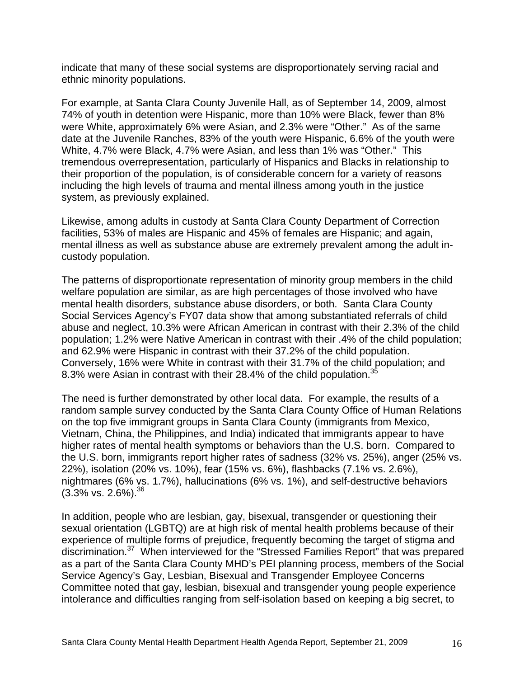indicate that many of these social systems are disproportionately serving racial and ethnic minority populations.

For example, at Santa Clara County Juvenile Hall, as of September 14, 2009, almost 74% of youth in detention were Hispanic, more than 10% were Black, fewer than 8% were White, approximately 6% were Asian, and 2.3% were "Other." As of the same date at the Juvenile Ranches, 83% of the youth were Hispanic, 6.6% of the youth were White, 4.7% were Black, 4.7% were Asian, and less than 1% was "Other." This tremendous overrepresentation, particularly of Hispanics and Blacks in relationship to their proportion of the population, is of considerable concern for a variety of reasons including the high levels of trauma and mental illness among youth in the justice system, as previously explained.

Likewise, among adults in custody at Santa Clara County Department of Correction facilities, 53% of males are Hispanic and 45% of females are Hispanic; and again, mental illness as well as substance abuse are extremely prevalent among the adult incustody population.

The patterns of disproportionate representation of minority group members in the child welfare population are similar, as are high percentages of those involved who have mental health disorders, substance abuse disorders, or both. Santa Clara County Social Services Agency's FY07 data show that among substantiated referrals of child abuse and neglect, 10.3% were African American in contrast with their 2.3% of the child population; 1.2% were Native American in contrast with their .4% of the child population; and 62.9% were Hispanic in contrast with their 37.2% of the child population. Conversely, 16% were White in contrast with their 31.7% of the child population; and 8.3% were Asian in contrast with their 28.4% of the child population.<sup>35</sup>

The need is further demonstrated by other local data. For example, the results of a random sample survey conducted by the Santa Clara County Office of Human Relations on the top five immigrant groups in Santa Clara County (immigrants from Mexico, Vietnam, China, the Philippines, and India) indicated that immigrants appear to have higher rates of mental health symptoms or behaviors than the U.S. born. Compared to the U.S. born, immigrants report higher rates of sadness (32% vs. 25%), anger (25% vs. 22%), isolation (20% vs. 10%), fear (15% vs. 6%), flashbacks (7.1% vs. 2.6%), nightmares (6% vs. 1.7%), hallucinations (6% vs. 1%), and self-destructive behaviors  $(3.3\% \text{ vs. } 2.6\%).^{36}$ 

In addition, people who are lesbian, gay, bisexual, transgender or questioning their sexual orientation (LGBTQ) are at high risk of mental health problems because of their experience of multiple forms of prejudice, frequently becoming the target of stigma and discrimination.37 When interviewed for the "Stressed Families Report" that was prepared as a part of the Santa Clara County MHD's PEI planning process, members of the Social Service Agency's Gay, Lesbian, Bisexual and Transgender Employee Concerns Committee noted that gay, lesbian, bisexual and transgender young people experience intolerance and difficulties ranging from self-isolation based on keeping a big secret, to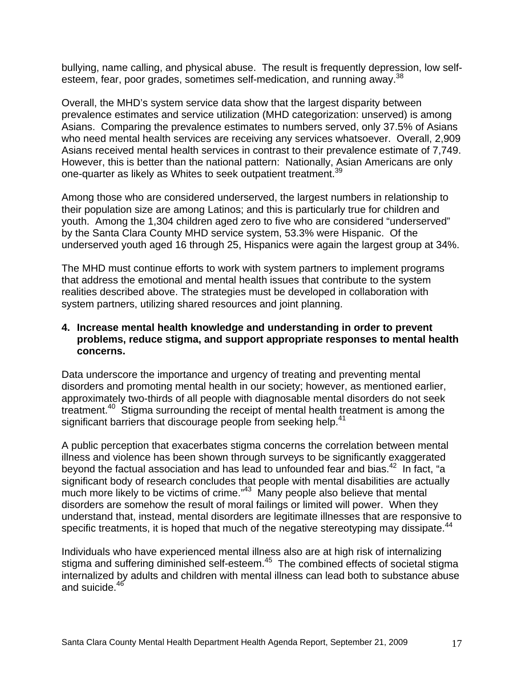bullying, name calling, and physical abuse. The result is frequently depression, low selfesteem, fear, poor grades, sometimes self-medication, and running away.<sup>38</sup>

Overall, the MHD's system service data show that the largest disparity between prevalence estimates and service utilization (MHD categorization: unserved) is among Asians. Comparing the prevalence estimates to numbers served, only 37.5% of Asians who need mental health services are receiving any services whatsoever. Overall, 2,909 Asians received mental health services in contrast to their prevalence estimate of 7,749. However, this is better than the national pattern: Nationally, Asian Americans are only one-quarter as likely as Whites to seek outpatient treatment.<sup>39</sup>

Among those who are considered underserved, the largest numbers in relationship to their population size are among Latinos; and this is particularly true for children and youth. Among the 1,304 children aged zero to five who are considered "underserved" by the Santa Clara County MHD service system, 53.3% were Hispanic. Of the underserved youth aged 16 through 25, Hispanics were again the largest group at 34%.

The MHD must continue efforts to work with system partners to implement programs that address the emotional and mental health issues that contribute to the system realities described above. The strategies must be developed in collaboration with system partners, utilizing shared resources and joint planning.

#### **4. Increase mental health knowledge and understanding in order to prevent problems, reduce stigma, and support appropriate responses to mental health concerns.**

Data underscore the importance and urgency of treating and preventing mental disorders and promoting mental health in our society; however, as mentioned earlier, approximately two-thirds of all people with diagnosable mental disorders do not seek treatment.40 Stigma surrounding the receipt of mental health treatment is among the significant barriers that discourage people from seeking help.<sup>41</sup>

A public perception that exacerbates stigma concerns the correlation between mental illness and violence has been shown through surveys to be significantly exaggerated beyond the factual association and has lead to unfounded fear and bias.<sup>42</sup> In fact, "a significant body of research concludes that people with mental disabilities are actually much more likely to be victims of crime."<sup>43</sup> Many people also believe that mental disorders are somehow the result of moral failings or limited will power. When they understand that, instead, mental disorders are legitimate illnesses that are responsive to specific treatments, it is hoped that much of the negative stereotyping may dissipate.<sup>44</sup>

Individuals who have experienced mental illness also are at high risk of internalizing stigma and suffering diminished self-esteem.<sup>45</sup> The combined effects of societal stigma internalized by adults and children with mental illness can lead both to substance abuse and suicide.46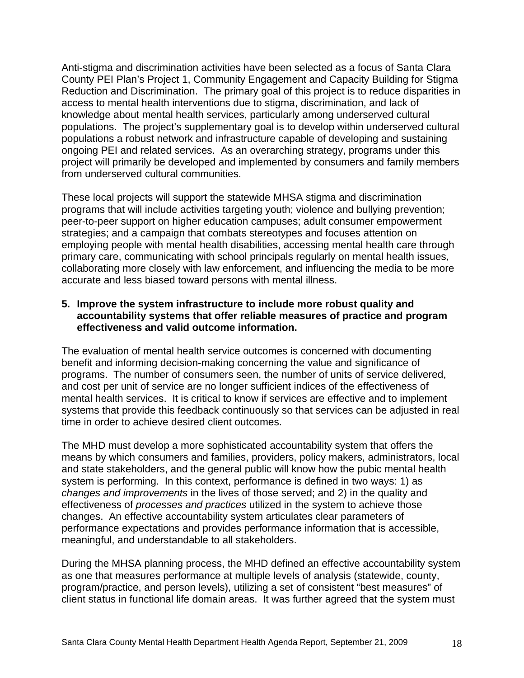Anti-stigma and discrimination activities have been selected as a focus of Santa Clara County PEI Plan's Project 1, Community Engagement and Capacity Building for Stigma Reduction and Discrimination. The primary goal of this project is to reduce disparities in access to mental health interventions due to stigma, discrimination, and lack of knowledge about mental health services, particularly among underserved cultural populations. The project's supplementary goal is to develop within underserved cultural populations a robust network and infrastructure capable of developing and sustaining ongoing PEI and related services. As an overarching strategy, programs under this project will primarily be developed and implemented by consumers and family members from underserved cultural communities.

These local projects will support the statewide MHSA stigma and discrimination programs that will include activities targeting youth; violence and bullying prevention; peer-to-peer support on higher education campuses; adult consumer empowerment strategies; and a campaign that combats stereotypes and focuses attention on employing people with mental health disabilities, accessing mental health care through primary care, communicating with school principals regularly on mental health issues, collaborating more closely with law enforcement, and influencing the media to be more accurate and less biased toward persons with mental illness.

## **5. Improve the system infrastructure to include more robust quality and accountability systems that offer reliable measures of practice and program effectiveness and valid outcome information.**

The evaluation of mental health service outcomes is concerned with documenting benefit and informing decision-making concerning the value and significance of programs. The number of consumers seen, the number of units of service delivered, and cost per unit of service are no longer sufficient indices of the effectiveness of mental health services. It is critical to know if services are effective and to implement systems that provide this feedback continuously so that services can be adjusted in real time in order to achieve desired client outcomes.

The MHD must develop a more sophisticated accountability system that offers the means by which consumers and families, providers, policy makers, administrators, local and state stakeholders, and the general public will know how the pubic mental health system is performing. In this context, performance is defined in two ways: 1) as *changes and improvements* in the lives of those served; and 2) in the quality and effectiveness of *processes and practices* utilized in the system to achieve those changes. An effective accountability system articulates clear parameters of performance expectations and provides performance information that is accessible, meaningful, and understandable to all stakeholders.

During the MHSA planning process, the MHD defined an effective accountability system as one that measures performance at multiple levels of analysis (statewide, county, program/practice, and person levels), utilizing a set of consistent "best measures" of client status in functional life domain areas. It was further agreed that the system must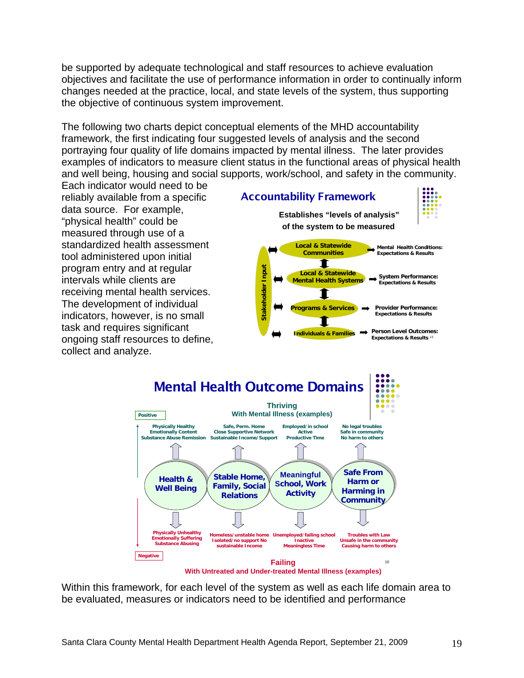be supported by adequate technological and staff resources to achieve evaluation objectives and facilitate the use of performance information in order to continually inform changes needed at the practice, local, and state levels of the system, thus supporting the objective of continuous system improvement.

The following two charts depict conceptual elements of the MHD accountability framework, the first indicating four suggested levels of analysis and the second portraying four quality of life domains impacted by mental illness. The later provides examples of indicators to measure client status in the functional areas of physical health and well being, housing and social supports, work/school, and safety in the community.

Each indicator would need to be reliably available from a specific data source. For example, "physical health" could be measured through use of a standardized health assessment tool administered upon initial program entry and at regular intervals while clients are receiving mental health services. The development of individual indicators, however, is no small task and requires significant ongoing staff resources to define, collect and analyze.

**Establishes "levels of analysis" of the system to be measured**

Accountability Framework





Within this framework, for each level of the system as well as each life domain area to be evaluated, measures or indicators need to be identified and performance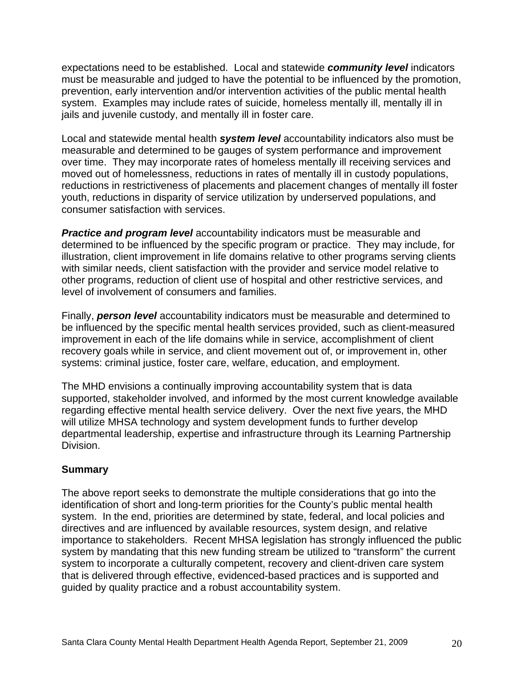expectations need to be established. Local and statewide *community level* indicators must be measurable and judged to have the potential to be influenced by the promotion, prevention, early intervention and/or intervention activities of the public mental health system. Examples may include rates of suicide, homeless mentally ill, mentally ill in jails and juvenile custody, and mentally ill in foster care.

Local and statewide mental health *system level* accountability indicators also must be measurable and determined to be gauges of system performance and improvement over time. They may incorporate rates of homeless mentally ill receiving services and moved out of homelessness, reductions in rates of mentally ill in custody populations, reductions in restrictiveness of placements and placement changes of mentally ill foster youth, reductions in disparity of service utilization by underserved populations, and consumer satisfaction with services.

**Practice and program level** accountability indicators must be measurable and determined to be influenced by the specific program or practice. They may include, for illustration, client improvement in life domains relative to other programs serving clients with similar needs, client satisfaction with the provider and service model relative to other programs, reduction of client use of hospital and other restrictive services, and level of involvement of consumers and families.

Finally, *person level* accountability indicators must be measurable and determined to be influenced by the specific mental health services provided, such as client-measured improvement in each of the life domains while in service, accomplishment of client recovery goals while in service, and client movement out of, or improvement in, other systems: criminal justice, foster care, welfare, education, and employment.

The MHD envisions a continually improving accountability system that is data supported, stakeholder involved, and informed by the most current knowledge available regarding effective mental health service delivery. Over the next five years, the MHD will utilize MHSA technology and system development funds to further develop departmental leadership, expertise and infrastructure through its Learning Partnership Division.

## **Summary**

The above report seeks to demonstrate the multiple considerations that go into the identification of short and long-term priorities for the County's public mental health system. In the end, priorities are determined by state, federal, and local policies and directives and are influenced by available resources, system design, and relative importance to stakeholders. Recent MHSA legislation has strongly influenced the public system by mandating that this new funding stream be utilized to "transform" the current system to incorporate a culturally competent, recovery and client-driven care system that is delivered through effective, evidenced-based practices and is supported and guided by quality practice and a robust accountability system.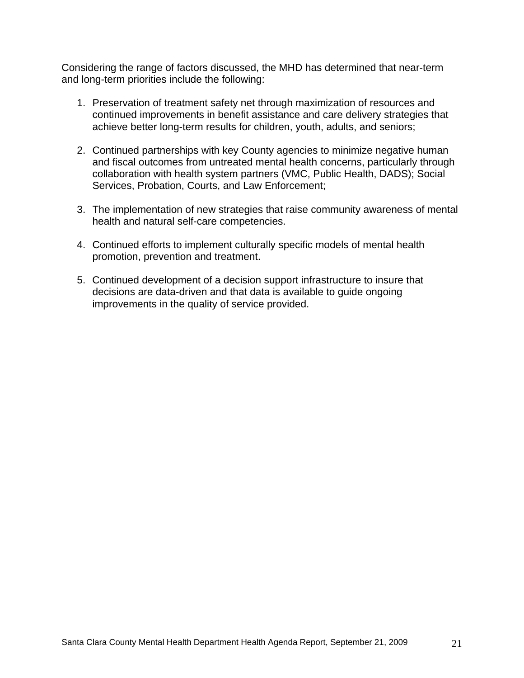Considering the range of factors discussed, the MHD has determined that near-term and long-term priorities include the following:

- 1. Preservation of treatment safety net through maximization of resources and continued improvements in benefit assistance and care delivery strategies that achieve better long-term results for children, youth, adults, and seniors;
- 2. Continued partnerships with key County agencies to minimize negative human and fiscal outcomes from untreated mental health concerns, particularly through collaboration with health system partners (VMC, Public Health, DADS); Social Services, Probation, Courts, and Law Enforcement;
- 3. The implementation of new strategies that raise community awareness of mental health and natural self-care competencies.
- 4. Continued efforts to implement culturally specific models of mental health promotion, prevention and treatment.
- 5. Continued development of a decision support infrastructure to insure that decisions are data-driven and that data is available to guide ongoing improvements in the quality of service provided.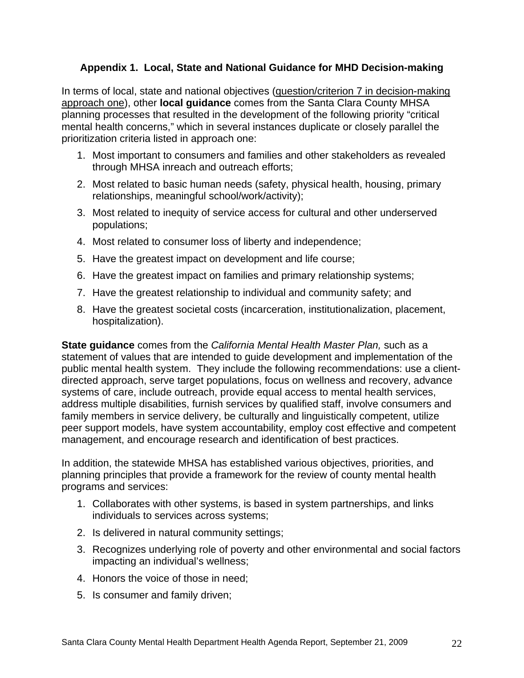## **Appendix 1. Local, State and National Guidance for MHD Decision-making**

In terms of local, state and national objectives (question/criterion 7 in decision-making approach one), other **local guidance** comes from the Santa Clara County MHSA planning processes that resulted in the development of the following priority "critical mental health concerns," which in several instances duplicate or closely parallel the prioritization criteria listed in approach one:

- 1. Most important to consumers and families and other stakeholders as revealed through MHSA inreach and outreach efforts;
- 2. Most related to basic human needs (safety, physical health, housing, primary relationships, meaningful school/work/activity);
- 3. Most related to inequity of service access for cultural and other underserved populations;
- 4. Most related to consumer loss of liberty and independence;
- 5. Have the greatest impact on development and life course;
- 6. Have the greatest impact on families and primary relationship systems;
- 7. Have the greatest relationship to individual and community safety; and
- 8. Have the greatest societal costs (incarceration, institutionalization, placement, hospitalization).

**State guidance** comes from the *California Mental Health Master Plan,* such as a statement of values that are intended to guide development and implementation of the public mental health system. They include the following recommendations: use a clientdirected approach, serve target populations, focus on wellness and recovery, advance systems of care, include outreach, provide equal access to mental health services, address multiple disabilities, furnish services by qualified staff, involve consumers and family members in service delivery, be culturally and linguistically competent, utilize peer support models, have system accountability, employ cost effective and competent management, and encourage research and identification of best practices.

In addition, the statewide MHSA has established various objectives, priorities, and planning principles that provide a framework for the review of county mental health programs and services:

- 1. Collaborates with other systems, is based in system partnerships, and links individuals to services across systems;
- 2. Is delivered in natural community settings;
- 3. Recognizes underlying role of poverty and other environmental and social factors impacting an individual's wellness;
- 4. Honors the voice of those in need;
- 5. Is consumer and family driven;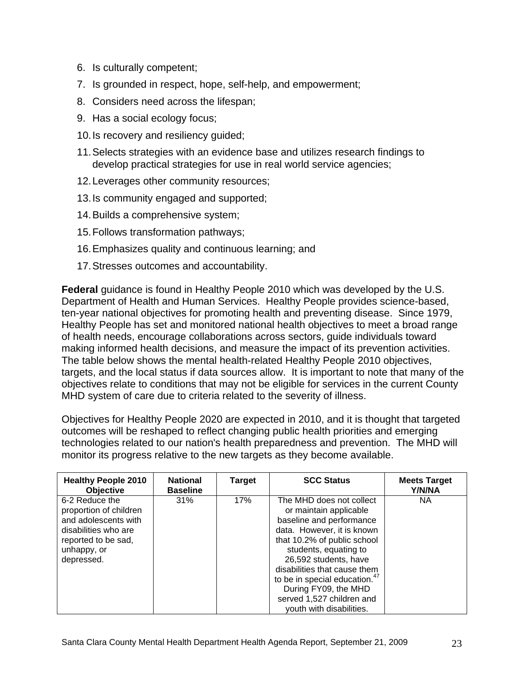- 6. Is culturally competent;
- 7. Is grounded in respect, hope, self-help, and empowerment;
- 8. Considers need across the lifespan;
- 9. Has a social ecology focus;
- 10. Is recovery and resiliency guided;
- 11. Selects strategies with an evidence base and utilizes research findings to develop practical strategies for use in real world service agencies;
- 12. Leverages other community resources;
- 13. Is community engaged and supported;
- 14. Builds a comprehensive system;
- 15. Follows transformation pathways;
- 16. Emphasizes quality and continuous learning; and
- 17. Stresses outcomes and accountability.

**Federal** guidance is found in Healthy People 2010 which was developed by the U.S. Department of Health and Human Services. Healthy People provides science-based, ten-year national objectives for promoting health and preventing disease. Since 1979, Healthy People has set and monitored national health objectives to meet a broad range of health needs, encourage collaborations across sectors, guide individuals toward making informed health decisions, and measure the impact of its prevention activities. The table below shows the mental health-related Healthy People 2010 objectives, targets, and the local status if data sources allow. It is important to note that many of the objectives relate to conditions that may not be eligible for services in the current County MHD system of care due to criteria related to the severity of illness.

Objectives for Healthy People 2020 are expected in 2010, and it is thought that targeted outcomes will be reshaped to reflect changing public health priorities and emerging technologies related to our nation's health preparedness and prevention. The MHD will monitor its progress relative to the new targets as they become available.

| <b>Healthy People 2010</b><br><b>Objective</b>                                                                                               | <b>National</b><br><b>Baseline</b> | <b>Target</b> | <b>SCC Status</b>                                                                                                                                                                                                                                                                                                                                           | <b>Meets Target</b><br>Y/N/NA |
|----------------------------------------------------------------------------------------------------------------------------------------------|------------------------------------|---------------|-------------------------------------------------------------------------------------------------------------------------------------------------------------------------------------------------------------------------------------------------------------------------------------------------------------------------------------------------------------|-------------------------------|
| 6-2 Reduce the<br>proportion of children<br>and adolescents with<br>disabilities who are<br>reported to be sad,<br>unhappy, or<br>depressed. | 31%                                | 17%           | The MHD does not collect<br>or maintain applicable<br>baseline and performance<br>data. However, it is known<br>that 10.2% of public school<br>students, equating to<br>26,592 students, have<br>disabilities that cause them<br>to be in special education. <sup>47</sup><br>During FY09, the MHD<br>served 1,527 children and<br>youth with disabilities. | NА                            |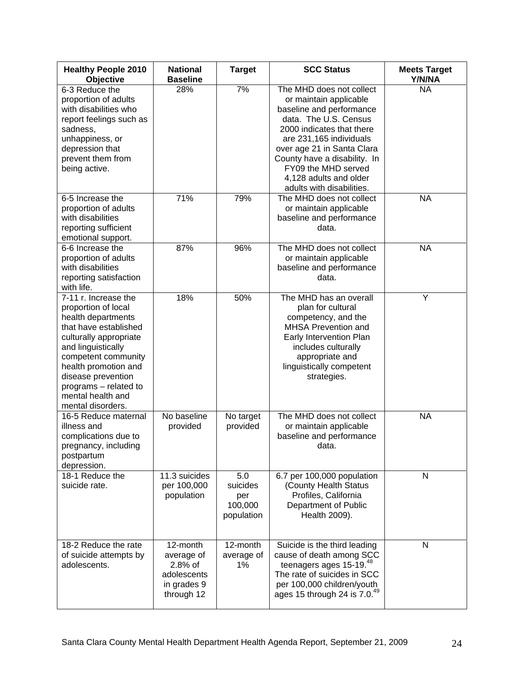| <b>Healthy People 2010</b><br><b>Objective</b>                                                                                                                                                                                                                                     | <b>National</b><br><b>Baseline</b>                                            | <b>Target</b>                                   | <b>SCC Status</b>                                                                                                                                                                                                                                                                                           | <b>Meets Target</b><br>Y/N/NA |
|------------------------------------------------------------------------------------------------------------------------------------------------------------------------------------------------------------------------------------------------------------------------------------|-------------------------------------------------------------------------------|-------------------------------------------------|-------------------------------------------------------------------------------------------------------------------------------------------------------------------------------------------------------------------------------------------------------------------------------------------------------------|-------------------------------|
| 6-3 Reduce the<br>proportion of adults<br>with disabilities who<br>report feelings such as<br>sadness,<br>unhappiness, or<br>depression that<br>prevent them from<br>being active.                                                                                                 | 28%                                                                           | 7%                                              | The MHD does not collect<br>or maintain applicable<br>baseline and performance<br>data. The U.S. Census<br>2000 indicates that there<br>are 231,165 individuals<br>over age 21 in Santa Clara<br>County have a disability. In<br>FY09 the MHD served<br>4,128 adults and older<br>adults with disabilities. | <b>NA</b>                     |
| 6-5 Increase the<br>proportion of adults<br>with disabilities<br>reporting sufficient<br>emotional support.                                                                                                                                                                        | 71%                                                                           | 79%                                             | The MHD does not collect<br>or maintain applicable<br>baseline and performance<br>data.                                                                                                                                                                                                                     | <b>NA</b>                     |
| 6-6 Increase the<br>proportion of adults<br>with disabilities<br>reporting satisfaction<br>with life.                                                                                                                                                                              | 87%                                                                           | 96%                                             | The MHD does not collect<br>or maintain applicable<br>baseline and performance<br>data.                                                                                                                                                                                                                     | <b>NA</b>                     |
| 7-11 r. Increase the<br>proportion of local<br>health departments<br>that have established<br>culturally appropriate<br>and linguistically<br>competent community<br>health promotion and<br>disease prevention<br>programs - related to<br>mental health and<br>mental disorders. | 18%                                                                           | 50%                                             | The MHD has an overall<br>plan for cultural<br>competency, and the<br><b>MHSA Prevention and</b><br>Early Intervention Plan<br>includes culturally<br>appropriate and<br>linguistically competent<br>strategies.                                                                                            | Υ                             |
| 16-5 Reduce maternal<br>illness and<br>complications due to<br>pregnancy, including<br>postpartum<br>depression.                                                                                                                                                                   | No baseline<br>provided                                                       | No target<br>provided                           | The MHD does not collect<br>or maintain applicable<br>baseline and performance<br>data.                                                                                                                                                                                                                     | <b>NA</b>                     |
| 18-1 Reduce the<br>suicide rate.                                                                                                                                                                                                                                                   | 11.3 suicides<br>per 100,000<br>population                                    | 5.0<br>suicides<br>per<br>100,000<br>population | 6.7 per 100,000 population<br>(County Health Status<br>Profiles, California<br>Department of Public<br>Health 2009).                                                                                                                                                                                        | N                             |
| 18-2 Reduce the rate<br>of suicide attempts by<br>adolescents.                                                                                                                                                                                                                     | 12-month<br>average of<br>2.8% of<br>adolescents<br>in grades 9<br>through 12 | 12-month<br>average of<br>1%                    | Suicide is the third leading<br>cause of death among SCC<br>teenagers ages 15-19. <sup>48</sup><br>The rate of suicides in SCC<br>per 100,000 children/youth<br>ages 15 through 24 is 7.0.49                                                                                                                | N                             |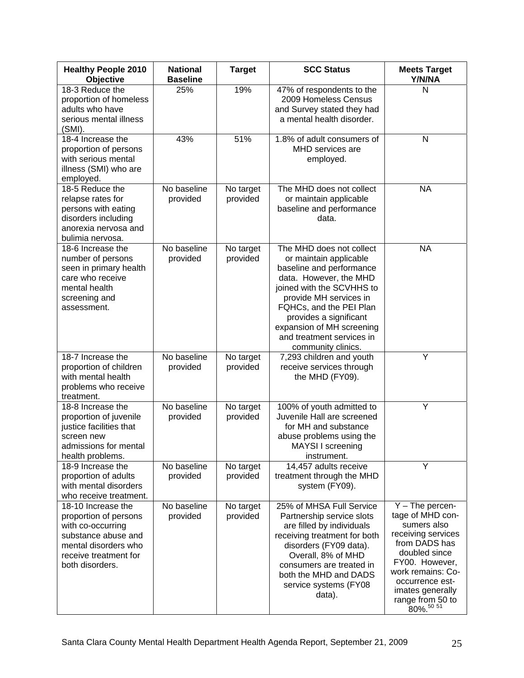| <b>Healthy People 2010</b><br>Objective                                                                                                                     | <b>National</b><br><b>Baseline</b> | <b>Target</b>         | <b>SCC Status</b>                                                                                                                                                                                                                                                                                    | <b>Meets Target</b><br>Y/N/NA                                                                                                                                                                                                |
|-------------------------------------------------------------------------------------------------------------------------------------------------------------|------------------------------------|-----------------------|------------------------------------------------------------------------------------------------------------------------------------------------------------------------------------------------------------------------------------------------------------------------------------------------------|------------------------------------------------------------------------------------------------------------------------------------------------------------------------------------------------------------------------------|
| 18-3 Reduce the<br>proportion of homeless<br>adults who have<br>serious mental illness<br>(SMI).                                                            | 25%                                | 19%                   | 47% of respondents to the<br>2009 Homeless Census<br>and Survey stated they had<br>a mental health disorder.                                                                                                                                                                                         | N                                                                                                                                                                                                                            |
| 18-4 Increase the<br>proportion of persons<br>with serious mental<br>illness (SMI) who are<br>employed.                                                     | 43%                                | 51%                   | 1.8% of adult consumers of<br>MHD services are<br>employed.                                                                                                                                                                                                                                          | $\mathsf{N}$                                                                                                                                                                                                                 |
| 18-5 Reduce the<br>relapse rates for<br>persons with eating<br>disorders including<br>anorexia nervosa and<br>bulimia nervosa.                              | No baseline<br>provided            | No target<br>provided | The MHD does not collect<br>or maintain applicable<br>baseline and performance<br>data.                                                                                                                                                                                                              | <b>NA</b>                                                                                                                                                                                                                    |
| 18-6 Increase the<br>number of persons<br>seen in primary health<br>care who receive<br>mental health<br>screening and<br>assessment.                       | No baseline<br>provided            | No target<br>provided | The MHD does not collect<br>or maintain applicable<br>baseline and performance<br>data. However, the MHD<br>joined with the SCVHHS to<br>provide MH services in<br>FQHCs, and the PEI Plan<br>provides a significant<br>expansion of MH screening<br>and treatment services in<br>community clinics. | <b>NA</b>                                                                                                                                                                                                                    |
| 18-7 Increase the<br>proportion of children<br>with mental health<br>problems who receive<br>treatment.                                                     | No baseline<br>provided            | No target<br>provided | 7,293 children and youth<br>receive services through<br>the MHD (FY09).                                                                                                                                                                                                                              | Υ                                                                                                                                                                                                                            |
| 18-8 Increase the<br>proportion of juvenile<br>justice facilities that<br>screen new<br>admissions for mental<br>health problems.                           | No baseline<br>provided            | No target<br>provided | 100% of youth admitted to<br>Juvenile Hall are screened<br>for MH and substance<br>abuse problems using the<br>MAYSI I screening<br>instrument.                                                                                                                                                      | Y                                                                                                                                                                                                                            |
| 18-9 Increase the<br>proportion of adults<br>with mental disorders<br>who receive treatment.                                                                | No baseline<br>provided            | No target<br>provided | 14,457 adults receive<br>treatment through the MHD<br>system (FY09).                                                                                                                                                                                                                                 | Y                                                                                                                                                                                                                            |
| 18-10 Increase the<br>proportion of persons<br>with co-occurring<br>substance abuse and<br>mental disorders who<br>receive treatment for<br>both disorders. | No baseline<br>provided            | No target<br>provided | 25% of MHSA Full Service<br>Partnership service slots<br>are filled by individuals<br>receiving treatment for both<br>disorders (FY09 data).<br>Overall, 8% of MHD<br>consumers are treated in<br>both the MHD and DADS<br>service systems (FY08<br>data).                                           | $Y$ – The percen-<br>tage of MHD con-<br>sumers also<br>receiving services<br>from DADS has<br>doubled since<br>FY00. However,<br>work remains: Co-<br>occurrence est-<br>imates generally<br>range from 50 to<br>80%. 50 51 |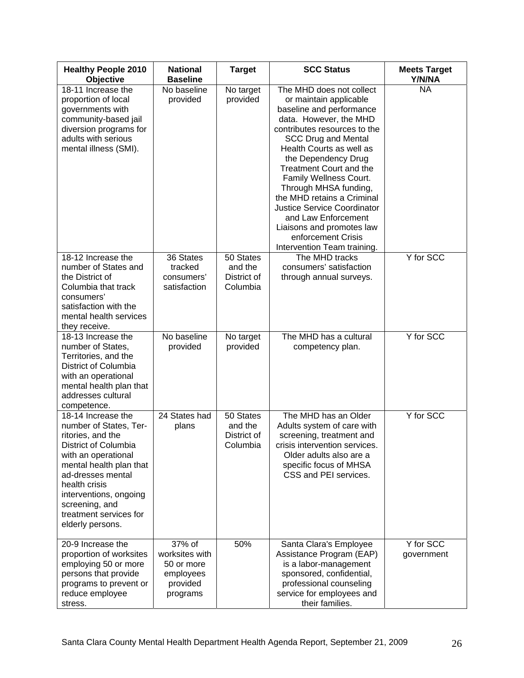| <b>Healthy People 2010</b><br><b>Objective</b>                                                                                                                                                                                                                              | <b>National</b><br><b>Baseline</b>                                          | <b>Target</b>                                   | <b>SCC Status</b>                                                                                                                                                                                                                                                                                                                                                                                                                                                                           | <b>Meets Target</b><br>Y/N/NA |
|-----------------------------------------------------------------------------------------------------------------------------------------------------------------------------------------------------------------------------------------------------------------------------|-----------------------------------------------------------------------------|-------------------------------------------------|---------------------------------------------------------------------------------------------------------------------------------------------------------------------------------------------------------------------------------------------------------------------------------------------------------------------------------------------------------------------------------------------------------------------------------------------------------------------------------------------|-------------------------------|
| 18-11 Increase the<br>proportion of local<br>governments with<br>community-based jail<br>diversion programs for<br>adults with serious<br>mental illness (SMI).                                                                                                             | No baseline<br>provided                                                     | No target<br>provided                           | The MHD does not collect<br>or maintain applicable<br>baseline and performance<br>data. However, the MHD<br>contributes resources to the<br><b>SCC Drug and Mental</b><br>Health Courts as well as<br>the Dependency Drug<br><b>Treatment Court and the</b><br>Family Wellness Court.<br>Through MHSA funding,<br>the MHD retains a Criminal<br><b>Justice Service Coordinator</b><br>and Law Enforcement<br>Liaisons and promotes law<br>enforcement Crisis<br>Intervention Team training. | <b>NA</b>                     |
| 18-12 Increase the<br>number of States and<br>the District of<br>Columbia that track<br>consumers'<br>satisfaction with the<br>mental health services<br>they receive.                                                                                                      | 36 States<br>tracked<br>consumers'<br>satisfaction                          | 50 States<br>and the<br>District of<br>Columbia | The MHD tracks<br>consumers' satisfaction<br>through annual surveys.                                                                                                                                                                                                                                                                                                                                                                                                                        | Y for SCC                     |
| 18-13 Increase the<br>number of States,<br>Territories, and the<br>District of Columbia<br>with an operational<br>mental health plan that<br>addresses cultural<br>competence.                                                                                              | No baseline<br>provided                                                     | No target<br>provided                           | The MHD has a cultural<br>competency plan.                                                                                                                                                                                                                                                                                                                                                                                                                                                  | Y for SCC                     |
| 18-14 Increase the<br>number of States, Ter-<br>ritories, and the<br>District of Columbia<br>with an operational<br>mental health plan that<br>ad-dresses mental<br>health crisis<br>interventions, ongoing<br>screening, and<br>treatment services for<br>elderly persons. | 24 States had<br>plans                                                      | 50 States<br>and the<br>District of<br>Columbia | The MHD has an Older<br>Adults system of care with<br>screening, treatment and<br>crisis intervention services.<br>Older adults also are a<br>specific focus of MHSA<br>CSS and PEI services.                                                                                                                                                                                                                                                                                               | Y for SCC                     |
| 20-9 Increase the<br>proportion of worksites<br>employing 50 or more<br>persons that provide<br>programs to prevent or<br>reduce employee<br>stress.                                                                                                                        | 37% of<br>worksites with<br>50 or more<br>employees<br>provided<br>programs | 50%                                             | Santa Clara's Employee<br>Assistance Program (EAP)<br>is a labor-management<br>sponsored, confidential,<br>professional counseling<br>service for employees and<br>their families.                                                                                                                                                                                                                                                                                                          | Y for SCC<br>government       |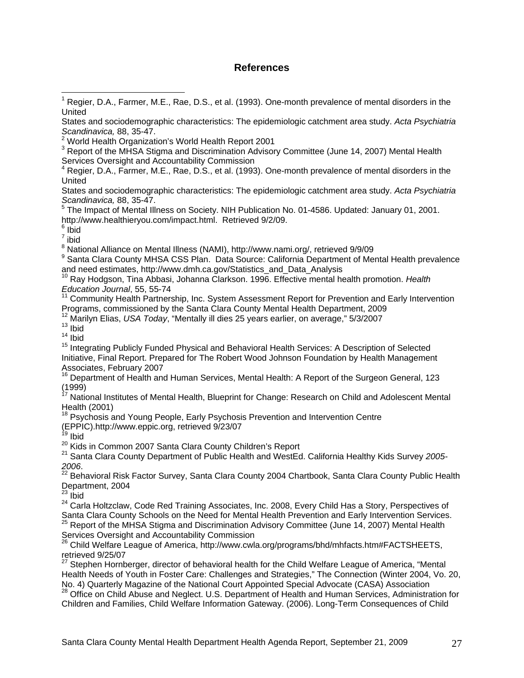#### **References**

 Regier, D.A., Farmer, M.E., Rae, D.S., et al. (1993). One-month prevalence of mental disorders in the United

States and sociodemographic characteristics: The epidemiologic catchment area study. *Acta Psychiatria Scandinavica,* 88, 35-47.

<sup>5</sup> The Impact of Mental Illness on Society. NIH Publication No. 01-4586. Updated: January 01, 2001. http://www.healthieryou.com/impact.html. Retrieved 9/2/09.

<sup>6</sup> Ibid

1

7 ibid

<sup>8</sup> National Alliance on Mental Illness (NAMI), http://www.nami.org/, retrieved 9/9/09

<sup>9</sup> Santa Clara County MHSA CSS Plan. Data Source: California Department of Mental Health prevalence and need estimates, http://www.dmh.ca.gov/Statistics\_and\_Data\_Analysis<br><sup>10</sup> Ray Hodgson, Tina Abbasi, Johanna Clarkson. 1996. Effective mental health promotion. *Health* 

*Education Journal*, 55, 55-74

<sup>11</sup> Community Health Partnership, Inc. System Assessment Report for Prevention and Early Intervention

Programs, commissioned by the Santa Clara County Mental Health Department, 2009 12 Marilyn Elias, *USA Today*, "Mentally ill dies 25 years earlier, on average," 5/3/2007 13 Ibid

 $14$  Ibid

<sup>15</sup> Integrating Publicly Funded Physical and Behavioral Health Services: A Description of Selected Initiative, Final Report. Prepared for The Robert Wood Johnson Foundation by Health Management Associates, February 2007

16 Department of Health and Human Services, Mental Health: A Report of the Surgeon General, 123 (1999)

<sup>17</sup> National Institutes of Mental Health, Blueprint for Change: Research on Child and Adolescent Mental Health (2001)

<sup>18</sup> Psychosis and Young People, Early Psychosis Prevention and Intervention Centre

(EPPIC).http://www.eppic.org, retrieved 9/23/07

<sup>19</sup> Ibid<br><sup>20</sup> Kids in Common 2007 Santa Clara County Children's Report

<sup>21</sup> Santa Clara County Department of Public Health and WestEd. California Healthy Kids Survey 2005-

*<sup>2006</sup>*. 22 Behavioral Risk Factor Survey, Santa Clara County 2004 Chartbook, Santa Clara County Public Health Department, 2004

 $23$  Ibid

<sup>24</sup> Carla Holtzclaw, Code Red Training Associates, Inc. 2008, Every Child Has a Story, Perspectives of Santa Clara County Schools on the Need for Mental Health Prevention and Early Intervention Services.<br><sup>25</sup> Report of the MHSA Stigma and Discrimination Advisory Committee (June 14, 2007) Mental Health

Services Oversight and Accountability Commission <sup>26</sup> Child Welfare League of America, http://www.cwla.org/programs/bhd/mhfacts.htm#FACTSHEETS,

## retrieved 9/25/07

<sup>27</sup> Stephen Hornberger, director of behavioral health for the Child Welfare League of America, "Mental Health Needs of Youth in Foster Care: Challenges and Strategies," The Connection (Winter 2004, Vo. 20, No. 4) Quarterly Magazine of the National Court Appointed Special Advocate (CASA) Association<br><sup>28</sup> Office on Child Abuse and Neglect. U.S. Department of Health and Human Services, Administration for

Children and Families, Child Welfare Information Gateway. (2006). Long-Term Consequences of Child

<sup>&</sup>lt;sup>1</sup> Regier, D.A., Farmer, M.E., Rae, D.S., et al. (1993). One-month prevalence of mental disorders in the **United** 

States and sociodemographic characteristics: The epidemiologic catchment area study. *Acta Psychiatria Scandinavica,* 88, 35-47. 2

World Health Organization's World Health Report 2001

 $3$  Report of the MHSA Stigma and Discrimination Advisory Committee (June 14, 2007) Mental Health Services Oversight and Accountability Commission<br><sup>4</sup> Begier, D.A., Fermer, M.E., Bee, D.S., et al. (1993